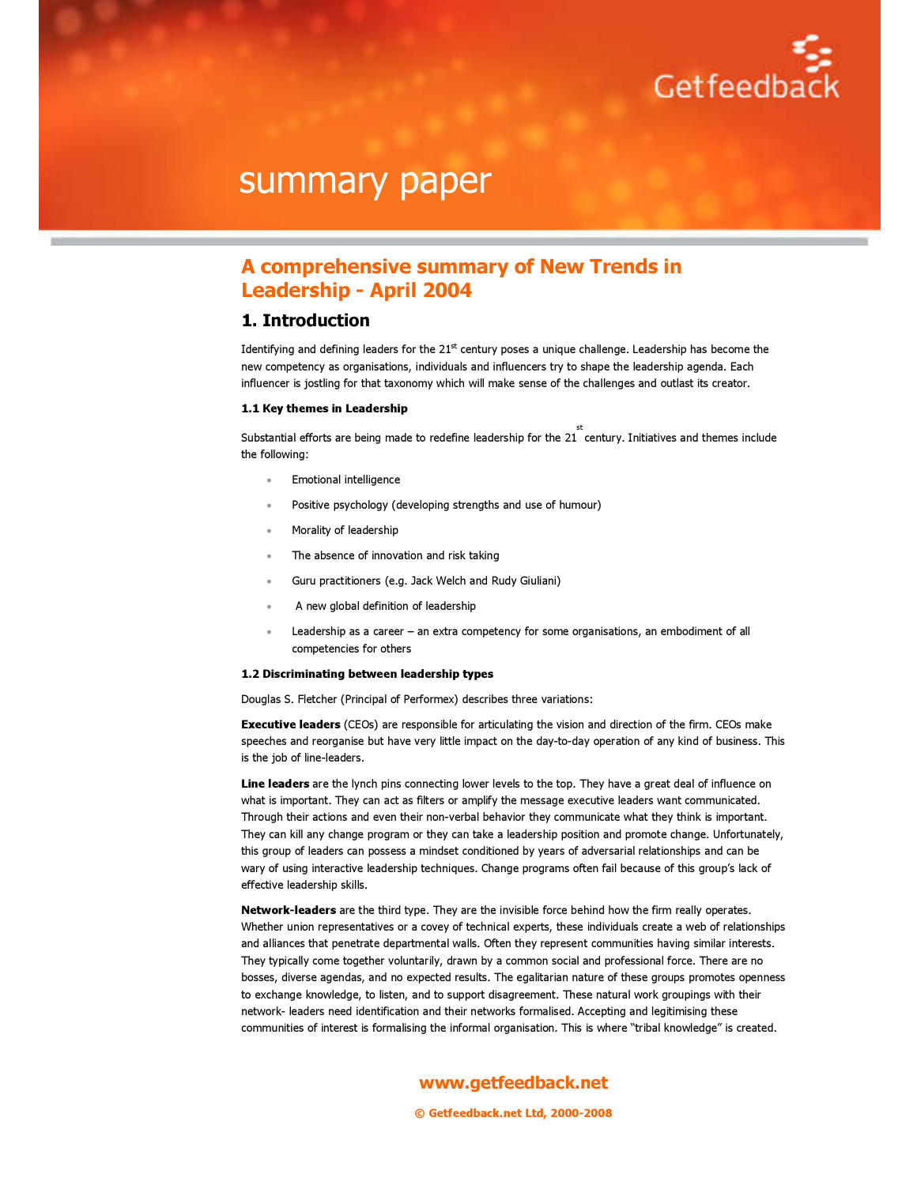

### A comprehensive summary of New Trends in Leadership - April 2004

### 1. Introduction

Identifying and defining leaders for the  $21<sup>st</sup>$  century poses a unique challenge. Leadership has become the new competency as organisations, individuals and influencers try to shape the leadership agenda. Each influencer is jostling for that taxonomy which will make sense of the challenges and outlast its creator.

#### 1.1 Key themes in Leadership

Substantial efforts are being made to redefine leadership for the 21 century. Initiatives and themes include st the following:

- Emotional intelligence
- Positive psychology (developing strengths and use of humour)
- Morality of leadership
- The absence of innovation and risk taking
- Guru practitioners (e.g. Jack Welch and Rudy Giuliani)
- A new global definition of leadership
- Leadership as a career an extra competency for some organisations, an embodiment of all competencies for others

#### 1.2 Discriminating between leadership types

Douglas S. Fletcher (Principal of Performex) describes three variations:

**Executive leaders** (CEOs) are responsible for articulating the vision and direction of the firm. CEOs make speeches and reorganise but have very little impact on the day-to-day operation of any kind of business. This is the job of line-leaders.

Line leaders are the lynch pins connecting lower levels to the top. They have a great deal of influence on what is important. They can act as filters or amplify the message executive leaders want communicated. Through their actions and even their non-verbal behavior they communicate what they think is important. They can kill any change program or they can take a leadership position and promote change. Unfortunately, this group of leaders can possess a mindset conditioned by years of adversarial relationships and can be wary of using interactive leadership techniques. Change programs often fail because of this group's lack of effective leadership skills.

Network-leaders are the third type. They are the invisible force behind how the firm really operates. Whether union representatives or a covey of technical experts, these individuals create a web of relationships and alliances that penetrate departmental walls. Often they represent communities having similar interests. They typically come together voluntarily, drawn by a common social and professional force. There are no bosses, diverse agendas, and no expected results. The egalitarian nature of these groups promotes openness to exchange knowledge, to listen, and to support disagreement. These natural work groupings with their network- leaders need identification and their networks formalised. Accepting and legitimising these communities of interest is formalising the informal organisation. This is where "tribal knowledge" is created.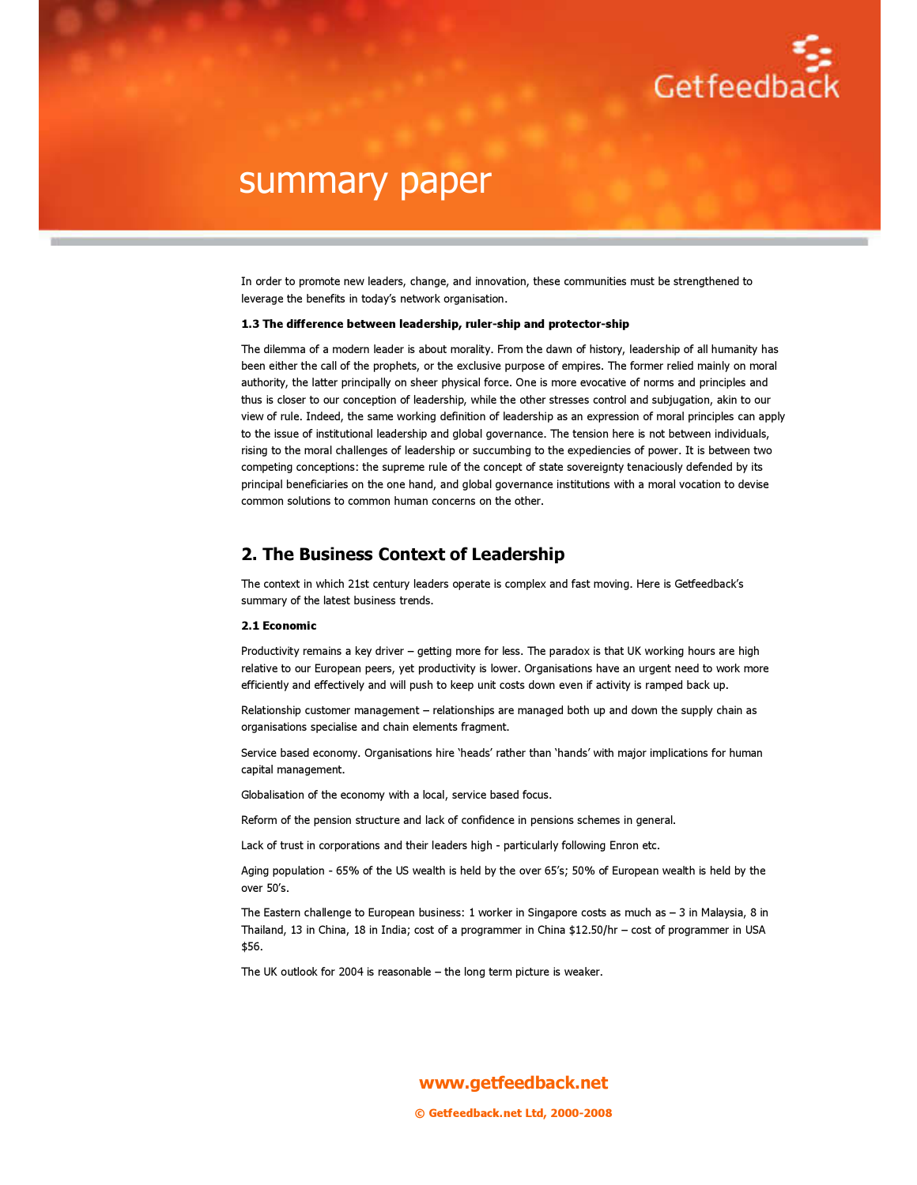

In order to promote new leaders, change, and innovation, these communities must be strengthened to leverage the benefits in today's network organisation.

#### 1.3 The difference between leadership, ruler-ship and protector-ship

The dilemma of a modern leader is about morality. From the dawn of history, leadership of all humanity has been either the call of the prophets, or the exclusive purpose of empires. The former relied mainly on moral authority, the latter principally on sheer physical force. One is more evocative of norms and principles and thus is closer to our conception of leadership, while the other stresses control and subjugation, akin to our view of rule. Indeed, the same working definition of leadership as an expression of moral principles can apply to the issue of institutional leadership and global governance. The tension here is not between individuals, rising to the moral challenges of leadership or succumbing to the expediencies of power. It is between two competing conceptions: the supreme rule of the concept of state sovereignty tenaciously defended by its principal beneficiaries on the one hand, and global governance institutions with a moral vocation to devise common solutions to common human concerns on the other.

### 2. The Business Context of Leadership

The context in which 21st century leaders operate is complex and fast moving. Here is Getfeedback's summary of the latest business trends.

#### 2.1 Economic

Productivity remains a key driver – getting more for less. The paradox is that UK working hours are high relative to our European peers, yet productivity is lower. Organisations have an urgent need to work more efficiently and effectively and will push to keep unit costs down even if activity is ramped back up.

Relationship customer management – relationships are managed both up and down the supply chain as organisations specialise and chain elements fragment.

Service based economy. Organisations hire 'heads' rather than 'hands' with major implications for human capital management.

Globalisation of the economy with a local, service based focus.

Reform of the pension structure and lack of confidence in pensions schemes in general.

Lack of trust in corporations and their leaders high - particularly following Enron etc.

Aging population - 65% of the US wealth is held by the over 65's; 50% of European wealth is held by the over 50's.

The Eastern challenge to European business: 1 worker in Singapore costs as much as – 3 in Malaysia, 8 in Thailand, 13 in China, 18 in India; cost of a programmer in China \$12.50/hr – cost of programmer in USA \$56.

The UK outlook for 2004 is reasonable – the long term picture is weaker.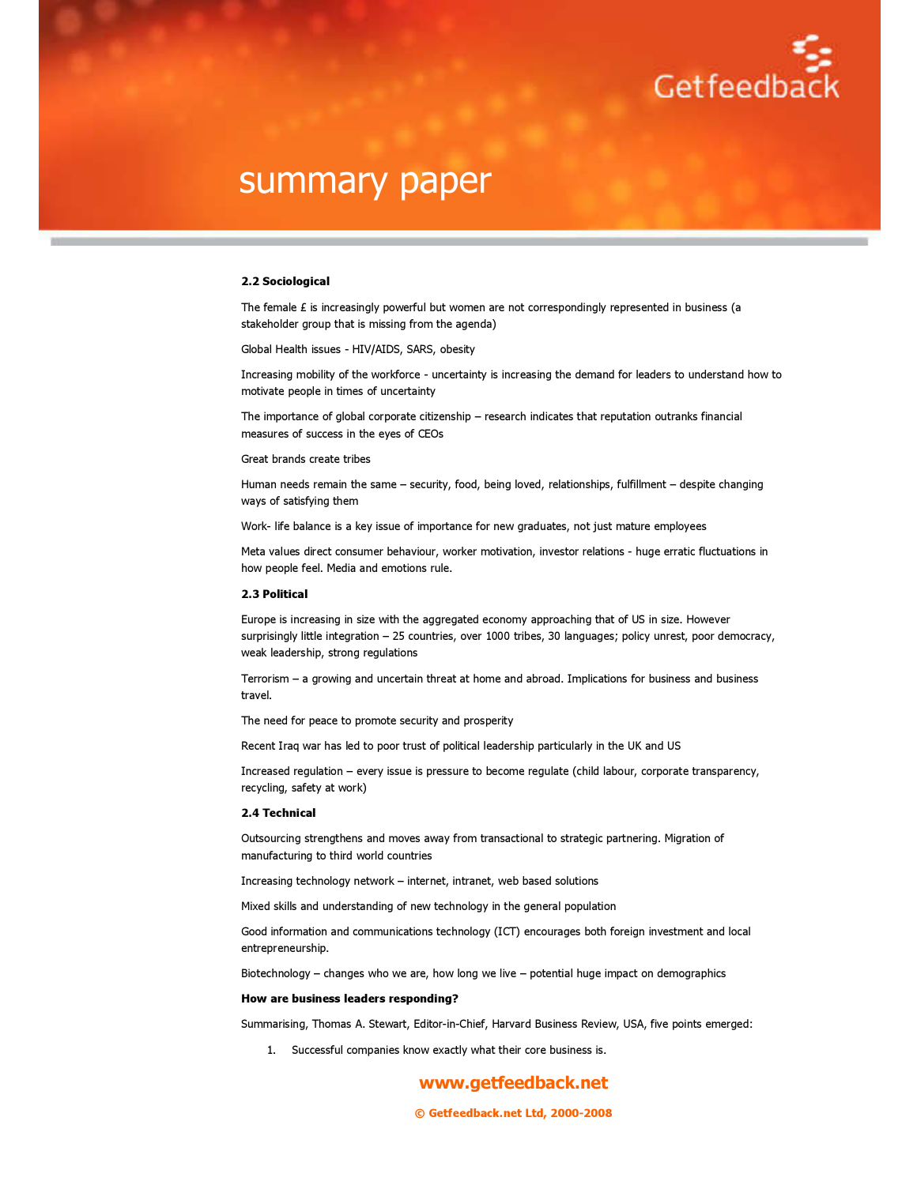

#### 2.2 Sociological

The female  $E$  is increasingly powerful but women are not correspondingly represented in business (a stakeholder group that is missing from the agenda)

Global Health issues - HIV/AIDS, SARS, obesity

Increasing mobility of the workforce - uncertainty is increasing the demand for leaders to understand how to motivate people in times of uncertainty

The importance of global corporate citizenship – research indicates that reputation outranks financial measures of success in the eyes of CEOs

#### Great brands create tribes

Human needs remain the same – security, food, being loved, relationships, fulfillment – despite changing ways of satisfying them

Work- life balance is a key issue of importance for new graduates, not just mature employees

Meta values direct consumer behaviour, worker motivation, investor relations - huge erratic fluctuations in how people feel. Media and emotions rule.

#### 2.3 Political

Europe is increasing in size with the aggregated economy approaching that of US in size. However surprisingly little integration – 25 countries, over 1000 tribes, 30 languages; policy unrest, poor democracy, weak leadership, strong regulations

Terrorism – a growing and uncertain threat at home and abroad. Implications for business and business travel.

The need for peace to promote security and prosperity

Recent Iraq war has led to poor trust of political leadership particularly in the UK and US

Increased regulation – every issue is pressure to become regulate (child labour, corporate transparency, recycling, safety at work)

#### 2.4 Technical

Outsourcing strengthens and moves away from transactional to strategic partnering. Migration of manufacturing to third world countries

Increasing technology network – internet, intranet, web based solutions

Mixed skills and understanding of new technology in the general population

Good information and communications technology (ICT) encourages both foreign investment and local entrepreneurship.

Biotechnology – changes who we are, how long we live – potential huge impact on demographics

#### How are business leaders responding?

Summarising, Thomas A. Stewart, Editor-in-Chief, Harvard Business Review, USA, five points emerged:

1. Successful companies know exactly what their core business is.

### www.getfeedback.net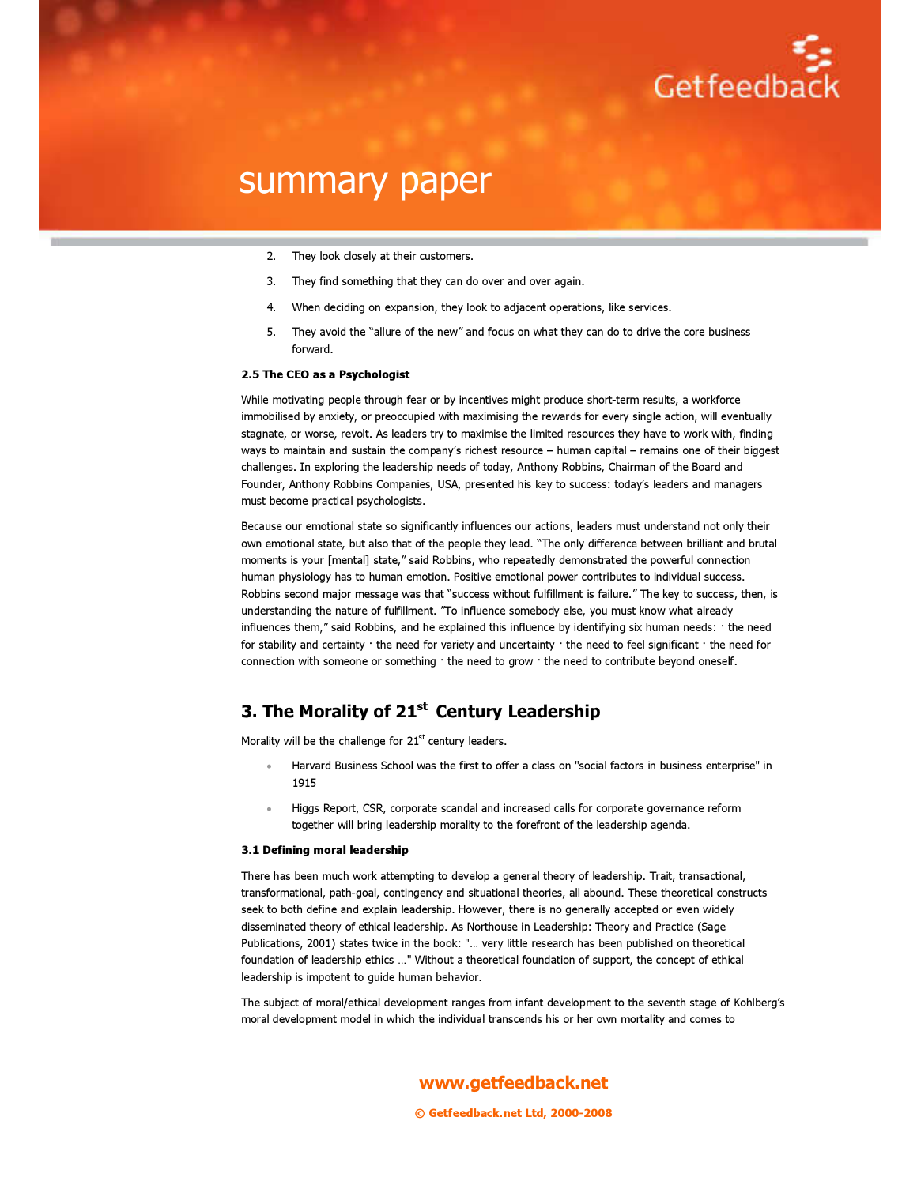

- 2. They look closely at their customers.
- 3. They find something that they can do over and over again.
- 4. When deciding on expansion, they look to adjacent operations, like services.
- 5. They avoid the "allure of the new" and focus on what they can do to drive the core business forward.

#### 2.5 The CEO as a Psychologist

While motivating people through fear or by incentives might produce short-term results, a workforce immobilised by anxiety, or preoccupied with maximising the rewards for every single action, will eventually stagnate, or worse, revolt. As leaders try to maximise the limited resources they have to work with, finding ways to maintain and sustain the company's richest resource – human capital – remains one of their biggest challenges. In exploring the leadership needs of today, Anthony Robbins, Chairman of the Board and Founder, Anthony Robbins Companies, USA, presented his key to success: today's leaders and managers must become practical psychologists.

Because our emotional state so significantly influences our actions, leaders must understand not only their own emotional state, but also that of the people they lead. "The only difference between brilliant and brutal moments is your [mental] state," said Robbins, who repeatedly demonstrated the powerful connection human physiology has to human emotion. Positive emotional power contributes to individual success. Robbins second major message was that "success without fulfillment is failure." The key to success, then, is understanding the nature of fulfillment. "To influence somebody else, you must know what already influences them," said Robbins, and he explained this influence by identifying six human needs: · the need for stability and certainty · the need for variety and uncertainty · the need to feel significant · the need for connection with someone or something · the need to grow · the need to contribute beyond oneself.

### 3. The Morality of 21<sup>st</sup> Century Leadership

Morality will be the challenge for  $21<sup>st</sup>$  century leaders.

- Harvard Business School was the first to offer a class on "social factors in business enterprise" in 1915
- Higgs Report, CSR, corporate scandal and increased calls for corporate governance reform together will bring leadership morality to the forefront of the leadership agenda.

#### 3.1 Defining moral leadership

There has been much work attempting to develop a general theory of leadership. Trait, transactional, transformational, path-goal, contingency and situational theories, all abound. These theoretical constructs seek to both define and explain leadership. However, there is no generally accepted or even widely disseminated theory of ethical leadership. As Northouse in Leadership: Theory and Practice (Sage Publications, 2001) states twice in the book: "… very little research has been published on theoretical foundation of leadership ethics …" Without a theoretical foundation of support, the concept of ethical leadership is impotent to guide human behavior.

The subject of moral/ethical development ranges from infant development to the seventh stage of Kohlberg's moral development model in which the individual transcends his or her own mortality and comes to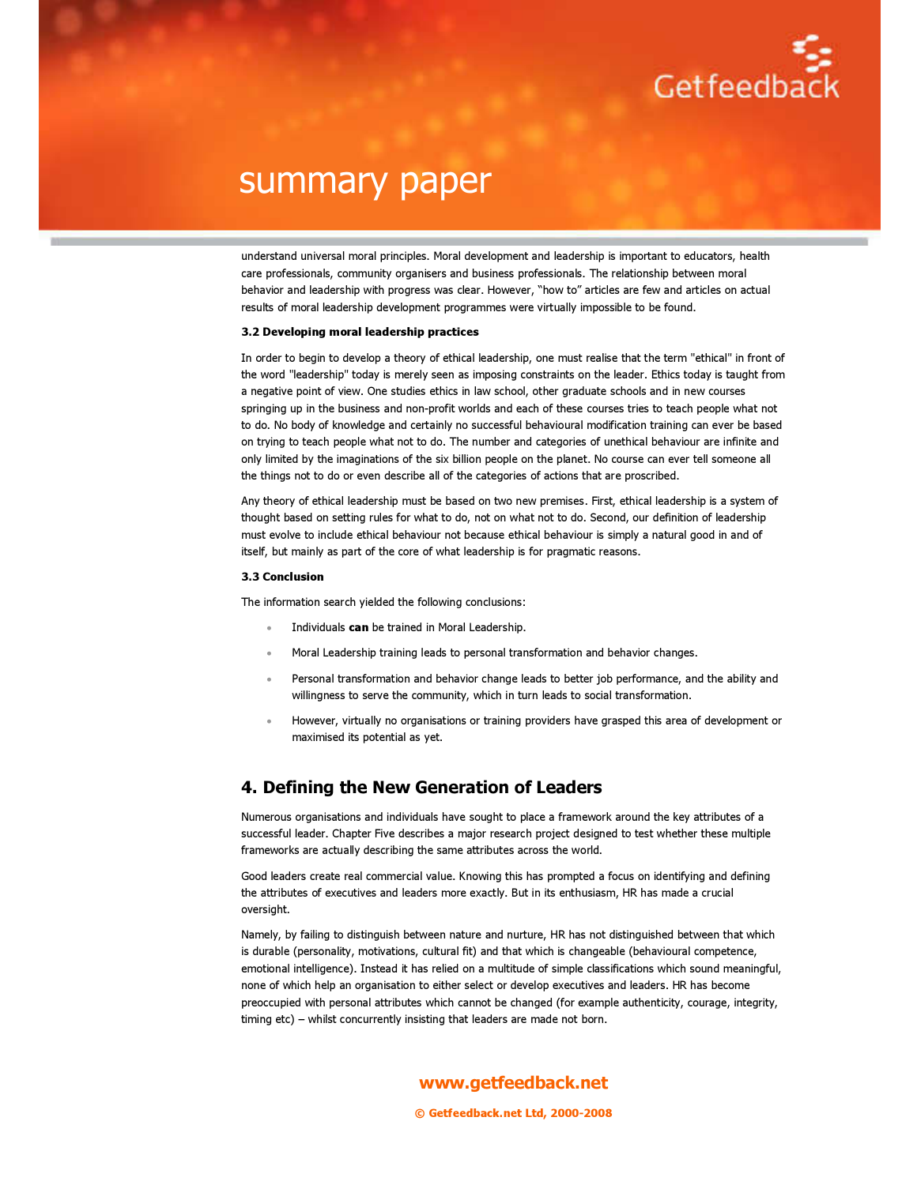

understand universal moral principles. Moral development and leadership is important to educators, health care professionals, community organisers and business professionals. The relationship between moral behavior and leadership with progress was clear. However, "how to" articles are few and articles on actual results of moral leadership development programmes were virtually impossible to be found.

#### 3.2 Developing moral leadership practices

In order to begin to develop a theory of ethical leadership, one must realise that the term "ethical" in front of the word "leadership" today is merely seen as imposing constraints on the leader. Ethics today is taught from a negative point of view. One studies ethics in law school, other graduate schools and in new courses springing up in the business and non-profit worlds and each of these courses tries to teach people what not to do. No body of knowledge and certainly no successful behavioural modification training can ever be based on trying to teach people what not to do. The number and categories of unethical behaviour are infinite and only limited by the imaginations of the six billion people on the planet. No course can ever tell someone all the things not to do or even describe all of the categories of actions that are proscribed.

Any theory of ethical leadership must be based on two new premises. First, ethical leadership is a system of thought based on setting rules for what to do, not on what not to do. Second, our definition of leadership must evolve to include ethical behaviour not because ethical behaviour is simply a natural good in and of itself, but mainly as part of the core of what leadership is for pragmatic reasons.

#### 3.3 Conclusion

The information search yielded the following conclusions:

- Individuals can be trained in Moral Leadership.
- Moral Leadership training leads to personal transformation and behavior changes.
- Personal transformation and behavior change leads to better job performance, and the ability and willingness to serve the community, which in turn leads to social transformation.
- However, virtually no organisations or training providers have grasped this area of development or maximised its potential as yet.

### 4. Defining the New Generation of Leaders

Numerous organisations and individuals have sought to place a framework around the key attributes of a successful leader. Chapter Five describes a major research project designed to test whether these multiple frameworks are actually describing the same attributes across the world.

Good leaders create real commercial value. Knowing this has prompted a focus on identifying and defining the attributes of executives and leaders more exactly. But in its enthusiasm, HR has made a crucial oversight.

Namely, by failing to distinguish between nature and nurture, HR has not distinguished between that which is durable (personality, motivations, cultural fit) and that which is changeable (behavioural competence, emotional intelligence). Instead it has relied on a multitude of simple classifications which sound meaningful, none of which help an organisation to either select or develop executives and leaders. HR has become preoccupied with personal attributes which cannot be changed (for example authenticity, courage, integrity, timing etc) – whilst concurrently insisting that leaders are made not born.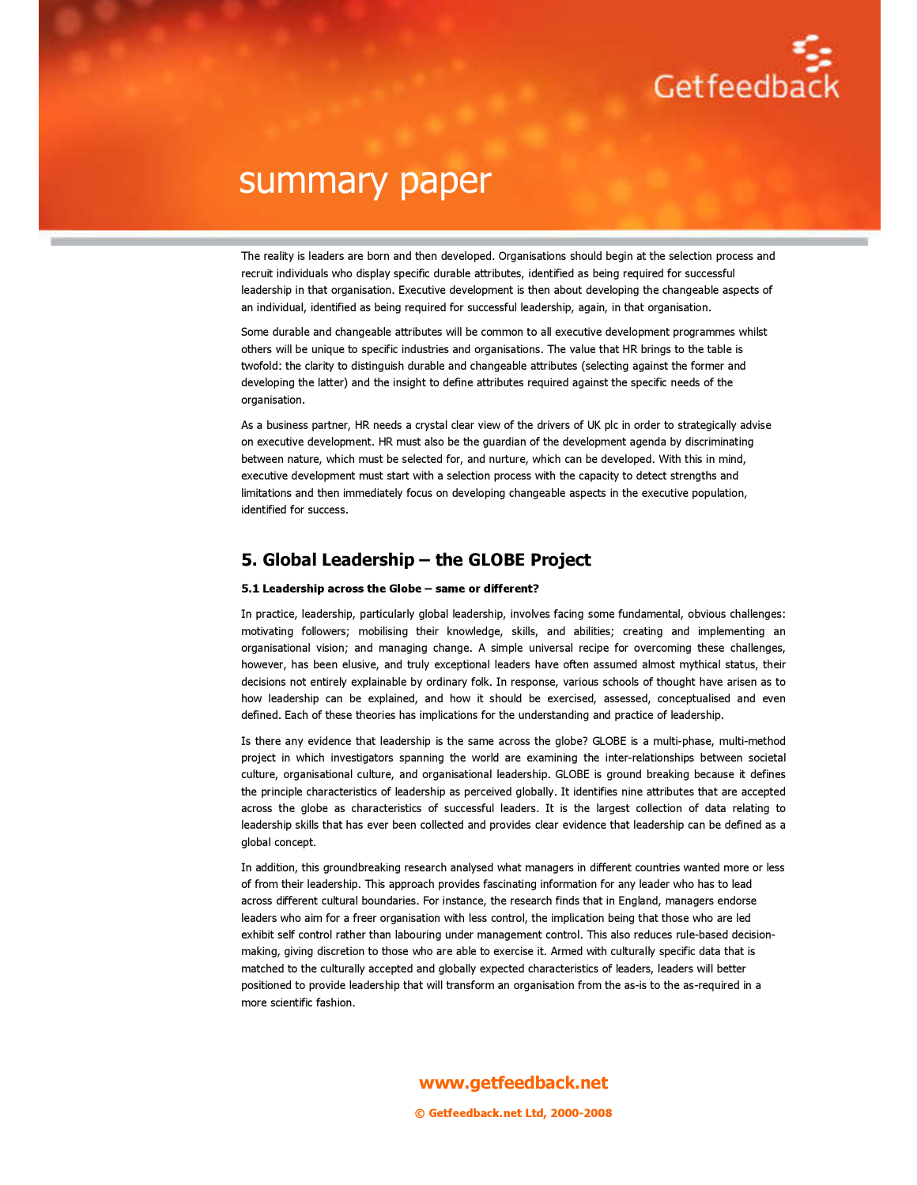

The reality is leaders are born and then developed. Organisations should begin at the selection process and recruit individuals who display specific durable attributes, identified as being required for successful leadership in that organisation. Executive development is then about developing the changeable aspects of an individual, identified as being required for successful leadership, again, in that organisation.

Some durable and changeable attributes will be common to all executive development programmes whilst others will be unique to specific industries and organisations. The value that HR brings to the table is twofold: the clarity to distinguish durable and changeable attributes (selecting against the former and developing the latter) and the insight to define attributes required against the specific needs of the organisation.

As a business partner, HR needs a crystal clear view of the drivers of UK plc in order to strategically advise on executive development. HR must also be the guardian of the development agenda by discriminating between nature, which must be selected for, and nurture, which can be developed. With this in mind, executive development must start with a selection process with the capacity to detect strengths and limitations and then immediately focus on developing changeable aspects in the executive population, identified for success.

### 5. Global Leadership – the GLOBE Project

#### 5.1 Leadership across the Globe – same or different?

In practice, leadership, particularly global leadership, involves facing some fundamental, obvious challenges: motivating followers; mobilising their knowledge, skills, and abilities; creating and implementing an organisational vision; and managing change. A simple universal recipe for overcoming these challenges, however, has been elusive, and truly exceptional leaders have often assumed almost mythical status, their decisions not entirely explainable by ordinary folk. In response, various schools of thought have arisen as to how leadership can be explained, and how it should be exercised, assessed, conceptualised and even defined. Each of these theories has implications for the understanding and practice of leadership.

Is there any evidence that leadership is the same across the globe? GLOBE is a multi-phase, multi-method project in which investigators spanning the world are examining the inter-relationships between societal culture, organisational culture, and organisational leadership. GLOBE is ground breaking because it defines the principle characteristics of leadership as perceived globally. It identifies nine attributes that are accepted across the globe as characteristics of successful leaders. It is the largest collection of data relating to leadership skills that has ever been collected and provides clear evidence that leadership can be defined as a global concept.

In addition, this groundbreaking research analysed what managers in different countries wanted more or less of from their leadership. This approach provides fascinating information for any leader who has to lead across different cultural boundaries. For instance, the research finds that in England, managers endorse leaders who aim for a freer organisation with less control, the implication being that those who are led exhibit self control rather than labouring under management control. This also reduces rule-based decisionmaking, giving discretion to those who are able to exercise it. Armed with culturally specific data that is matched to the culturally accepted and globally expected characteristics of leaders, leaders will better positioned to provide leadership that will transform an organisation from the as-is to the as-required in a more scientific fashion.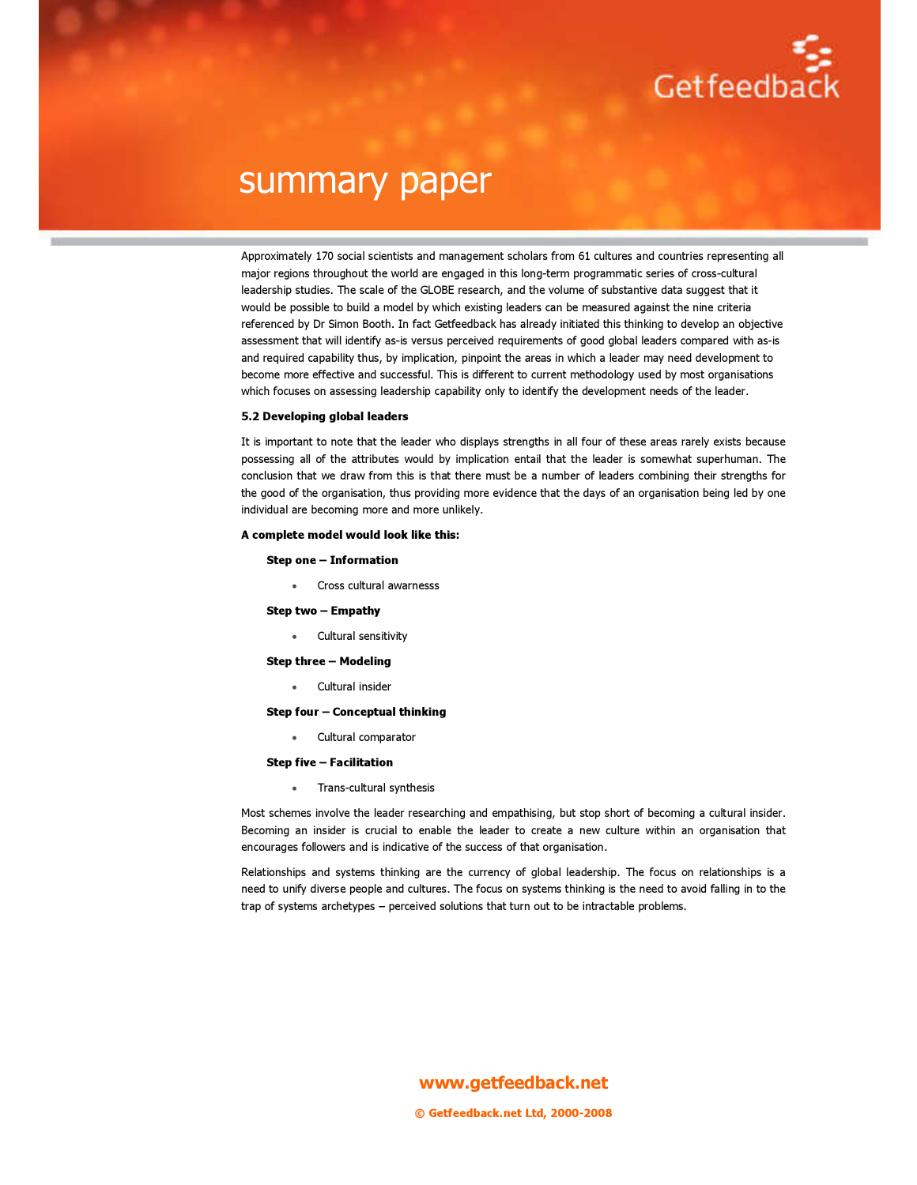

Approximately 170 social scientists and management scholars from 61 cultures and countries representing all major regions throughout the world are engaged in this long-term programmatic series of cross-cultural leadership studies. The scale of the GLOBE research, and the volume of substantive data suggest that it would be possible to build a model by which existing leaders can be measured against the nine criteria referenced by Dr Simon Booth. In fact Getfeedback has already initiated this thinking to develop an objective assessment that will identify as-is versus perceived requirements of good global leaders compared with as-is and required capability thus, by implication, pinpoint the areas in which a leader may need development to become more effective and successful. This is different to current methodology used by most organisations which focuses on assessing leadership capability only to identify the development needs of the leader.

#### 5.2 Developing global leaders

It is important to note that the leader who displays strengths in all four of these areas rarely exists because possessing all of the attributes would by implication entail that the leader is somewhat superhuman. The conclusion that we draw from this is that there must be a number of leaders combining their strengths for the good of the organisation, thus providing more evidence that the days of an organisation being led by one individual are becoming more and more unlikely.

#### A complete model would look like this:

#### Step one – Information

• Cross cultural awarnesss

#### Step two – Empathy

• Cultural sensitivity

Step three – Modeling

Cultural insider

#### Step four – Conceptual thinking

• Cultural comparator

#### Step five – Facilitation

• Trans-cultural synthesis

Most schemes involve the leader researching and empathising, but stop short of becoming a cultural insider. Becoming an insider is crucial to enable the leader to create a new culture within an organisation that encourages followers and is indicative of the success of that organisation.

Relationships and systems thinking are the currency of global leadership. The focus on relationships is a need to unify diverse people and cultures. The focus on systems thinking is the need to avoid falling in to the trap of systems archetypes – perceived solutions that turn out to be intractable problems.

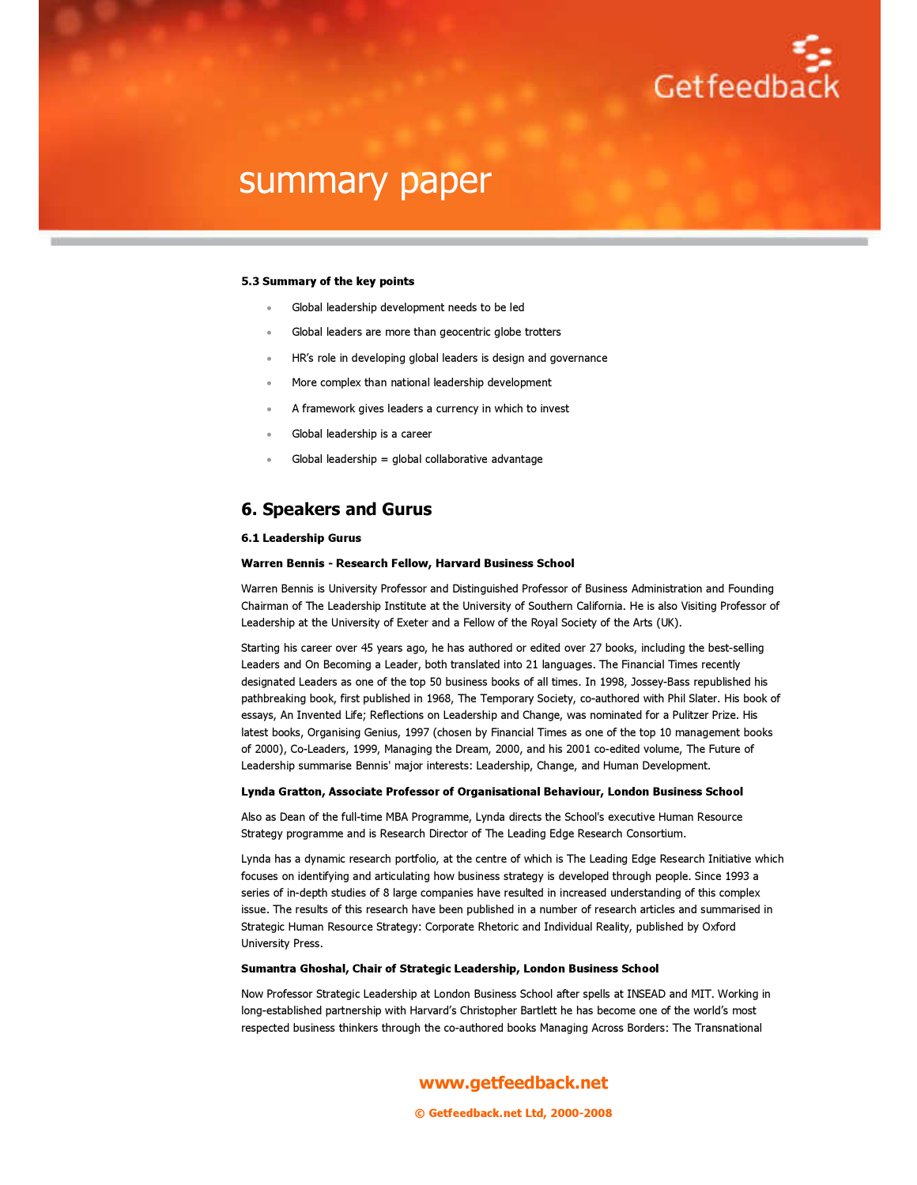

#### 5.3 Summary of the key points

- Global leadership development needs to be led
- Global leaders are more than geocentric globe trotters
- HR's role in developing global leaders is design and governance
- More complex than national leadership development
- A framework gives leaders a currency in which to invest
- Global leadership is a career
- Global leadership = global collaborative advantage

### 6. Speakers and Gurus

#### 6.1 Leadership Gurus

#### Warren Bennis - Research Fellow, Harvard Business School

Warren Bennis is University Professor and Distinguished Professor of Business Administration and Founding Chairman of The Leadership Institute at the University of Southern California. He is also Visiting Professor of Leadership at the University of Exeter and a Fellow of the Royal Society of the Arts (UK).

Starting his career over 45 years ago, he has authored or edited over 27 books, including the best-selling Leaders and On Becoming a Leader, both translated into 21 languages. The Financial Times recently designated Leaders as one of the top 50 business books of all times. In 1998, Jossey-Bass republished his pathbreaking book, first published in 1968, The Temporary Society, co-authored with Phil Slater. His book of essays, An Invented Life; Reflections on Leadership and Change, was nominated for a Pulitzer Prize. His latest books, Organising Genius, 1997 (chosen by Financial Times as one of the top 10 management books of 2000), Co-Leaders, 1999, Managing the Dream, 2000, and his 2001 co-edited volume, The Future of Leadership summarise Bennis' major interests: Leadership, Change, and Human Development.

#### Lynda Gratton, Associate Professor of Organisational Behaviour, London Business School

Also as Dean of the full-time MBA Programme, Lynda directs the School's executive Human Resource Strategy programme and is Research Director of The Leading Edge Research Consortium.

Lynda has a dynamic research portfolio, at the centre of which is The Leading Edge Research Initiative which focuses on identifying and articulating how business strategy is developed through people. Since 1993 a series of in-depth studies of 8 large companies have resulted in increased understanding of this complex issue. The results of this research have been published in a number of research articles and summarised in Strategic Human Resource Strategy: Corporate Rhetoric and Individual Reality, published by Oxford University Press.

#### Sumantra Ghoshal, Chair of Strategic Leadership, London Business School

Now Professor Strategic Leadership at London Business School after spells at INSEAD and MIT. Working in long-established partnership with Harvard's Christopher Bartlett he has become one of the world's most respected business thinkers through the co-authored books Managing Across Borders: The Transnational

www.getfeedback.net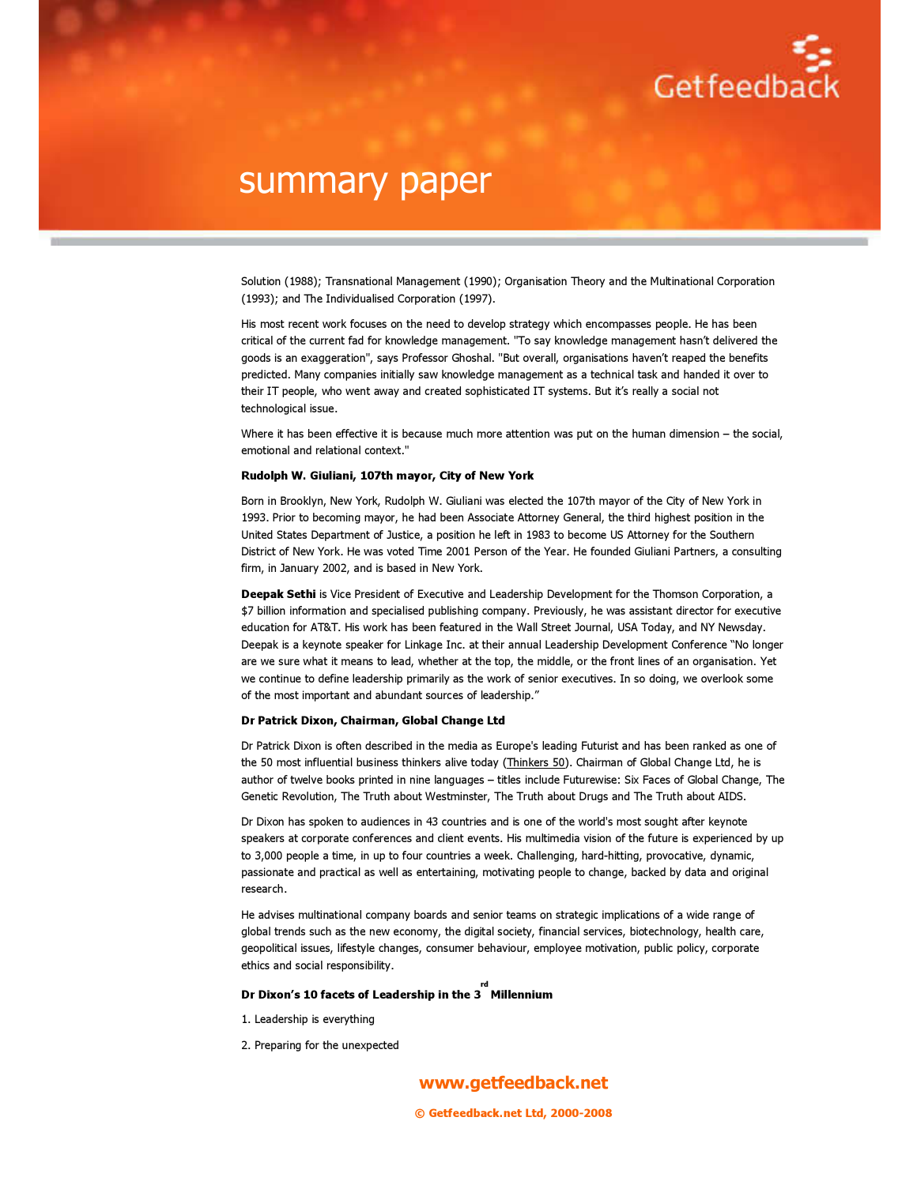

Solution (1988); Transnational Management (1990); Organisation Theory and the Multinational Corporation (1993); and The Individualised Corporation (1997).

His most recent work focuses on the need to develop strategy which encompasses people. He has been critical of the current fad for knowledge management. "To say knowledge management hasn't delivered the goods is an exaggeration", says Professor Ghoshal. "But overall, organisations haven't reaped the benefits predicted. Many companies initially saw knowledge management as a technical task and handed it over to their IT people, who went away and created sophisticated IT systems. But it's really a social not technological issue.

Where it has been effective it is because much more attention was put on the human dimension – the social, emotional and relational context."

#### Rudolph W. Giuliani, 107th mayor, City of New York

Born in Brooklyn, New York, Rudolph W. Giuliani was elected the 107th mayor of the City of New York in 1993. Prior to becoming mayor, he had been Associate Attorney General, the third highest position in the United States Department of Justice, a position he left in 1983 to become US Attorney for the Southern District of New York. He was voted Time 2001 Person of the Year. He founded Giuliani Partners, a consulting firm, in January 2002, and is based in New York.

Deepak Sethi is Vice President of Executive and Leadership Development for the Thomson Corporation, a \$7 billion information and specialised publishing company. Previously, he was assistant director for executive education for AT&T. His work has been featured in the Wall Street Journal, USA Today, and NY Newsday. Deepak is a keynote speaker for Linkage Inc. at their annual Leadership Development Conference "No longer are we sure what it means to lead, whether at the top, the middle, or the front lines of an organisation. Yet we continue to define leadership primarily as the work of senior executives. In so doing, we overlook some of the most important and abundant sources of leadership."

#### Dr Patrick Dixon, Chairman, Global Change Ltd

Dr Patrick Dixon is often described in the media as Europe's leading Futurist and has been ranked as one of the 50 most influential business thinkers alive today (Thinkers 50). Chairman of Global Change Ltd, he is author of twelve books printed in nine languages – titles include Futurewise: Six Faces of Global Change, The Genetic Revolution, The Truth about Westminster, The Truth about Drugs and The Truth about AIDS.

Dr Dixon has spoken to audiences in 43 countries and is one of the world's most sought after keynote speakers at corporate conferences and client events. His multimedia vision of the future is experienced by up to 3,000 people a time, in up to four countries a week. Challenging, hard-hitting, provocative, dynamic, passionate and practical as well as entertaining, motivating people to change, backed by data and original research.

He advises multinational company boards and senior teams on strategic implications of a wide range of global trends such as the new economy, the digital society, financial services, biotechnology, health care, geopolitical issues, lifestyle changes, consumer behaviour, employee motivation, public policy, corporate ethics and social responsibility.

rd

#### Dr Dixon's 10 facets of Leadership in the 3 Millennium

- 1. Leadership is everything
- 2. Preparing for the unexpected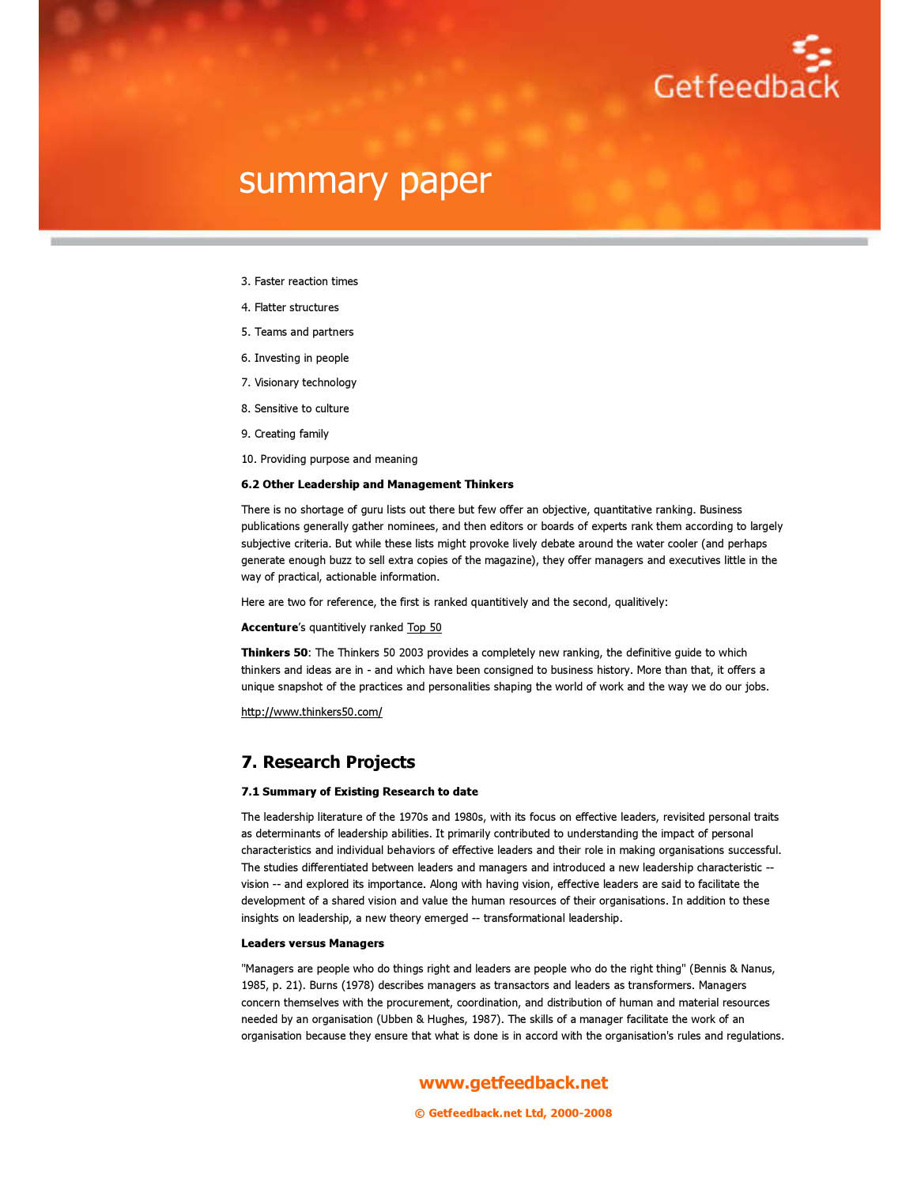

- 3. Faster reaction times
- 4. Flatter structures
- 5. Teams and partners
- 6. Investing in people
- 7. Visionary technology
- 8. Sensitive to culture
- 9. Creating family
- 10. Providing purpose and meaning

#### 6.2 Other Leadership and Management Thinkers

There is no shortage of guru lists out there but few offer an objective, quantitative ranking. Business publications generally gather nominees, and then editors or boards of experts rank them according to largely subjective criteria. But while these lists might provoke lively debate around the water cooler (and perhaps generate enough buzz to sell extra copies of the magazine), they offer managers and executives little in the way of practical, actionable information.

Here are two for reference, the first is ranked quantitively and the second, qualitively:

#### Accenture's quantitively ranked Top 50

Thinkers 50: The Thinkers 50 2003 provides a completely new ranking, the definitive guide to which thinkers and ideas are in - and which have been consigned to business history. More than that, it offers a unique snapshot of the practices and personalities shaping the world of work and the way we do our jobs.

http://www.thinkers50.com/

### 7. Research Projects

#### 7.1 Summary of Existing Research to date

The leadership literature of the 1970s and 1980s, with its focus on effective leaders, revisited personal traits as determinants of leadership abilities. It primarily contributed to understanding the impact of personal characteristics and individual behaviors of effective leaders and their role in making organisations successful. The studies differentiated between leaders and managers and introduced a new leadership characteristic - vision -- and explored its importance. Along with having vision, effective leaders are said to facilitate the development of a shared vision and value the human resources of their organisations. In addition to these insights on leadership, a new theory emerged -- transformational leadership.

#### Leaders versus Managers

"Managers are people who do things right and leaders are people who do the right thing" (Bennis & Nanus, 1985, p. 21). Burns (1978) describes managers as transactors and leaders as transformers. Managers concern themselves with the procurement, coordination, and distribution of human and material resources needed by an organisation (Ubben & Hughes, 1987). The skills of a manager facilitate the work of an organisation because they ensure that what is done is in accord with the organisation's rules and regulations.

www.getfeedback.net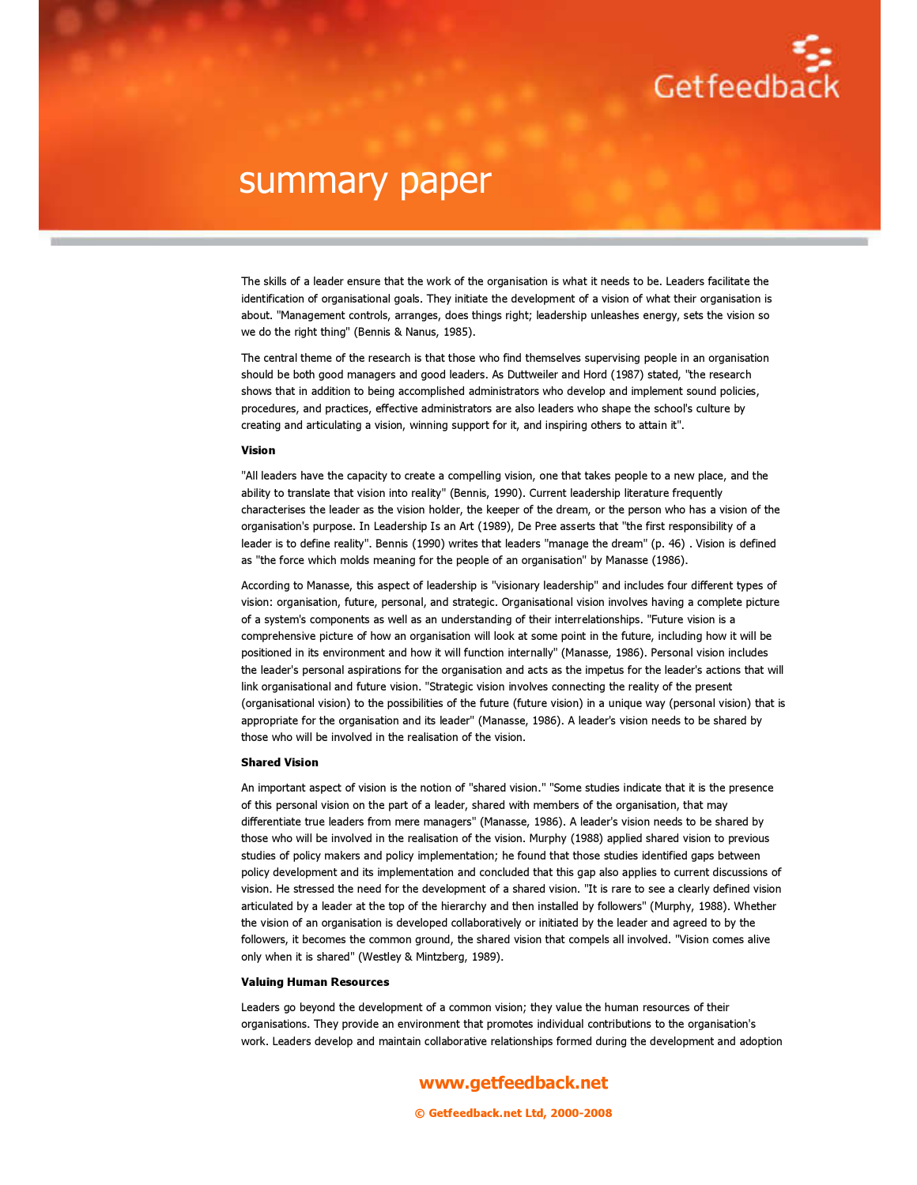

The skills of a leader ensure that the work of the organisation is what it needs to be. Leaders facilitate the identification of organisational goals. They initiate the development of a vision of what their organisation is about. "Management controls, arranges, does things right; leadership unleashes energy, sets the vision so we do the right thing" (Bennis & Nanus, 1985).

The central theme of the research is that those who find themselves supervising people in an organisation should be both good managers and good leaders. As Duttweiler and Hord (1987) stated, "the research shows that in addition to being accomplished administrators who develop and implement sound policies, procedures, and practices, effective administrators are also leaders who shape the school's culture by creating and articulating a vision, winning support for it, and inspiring others to attain it".

#### Vision

"All leaders have the capacity to create a compelling vision, one that takes people to a new place, and the ability to translate that vision into reality" (Bennis, 1990). Current leadership literature frequently characterises the leader as the vision holder, the keeper of the dream, or the person who has a vision of the organisation's purpose. In Leadership Is an Art (1989), De Pree asserts that "the first responsibility of a leader is to define reality". Bennis (1990) writes that leaders "manage the dream" (p. 46) . Vision is defined as "the force which molds meaning for the people of an organisation" by Manasse (1986).

According to Manasse, this aspect of leadership is "visionary leadership" and includes four different types of vision: organisation, future, personal, and strategic. Organisational vision involves having a complete picture of a system's components as well as an understanding of their interrelationships. "Future vision is a comprehensive picture of how an organisation will look at some point in the future, including how it will be positioned in its environment and how it will function internally" (Manasse, 1986). Personal vision includes the leader's personal aspirations for the organisation and acts as the impetus for the leader's actions that will link organisational and future vision. "Strategic vision involves connecting the reality of the present (organisational vision) to the possibilities of the future (future vision) in a unique way (personal vision) that is appropriate for the organisation and its leader" (Manasse, 1986). A leader's vision needs to be shared by those who will be involved in the realisation of the vision.

#### Shared Vision

An important aspect of vision is the notion of "shared vision." "Some studies indicate that it is the presence of this personal vision on the part of a leader, shared with members of the organisation, that may differentiate true leaders from mere managers" (Manasse, 1986). A leader's vision needs to be shared by those who will be involved in the realisation of the vision. Murphy (1988) applied shared vision to previous studies of policy makers and policy implementation; he found that those studies identified gaps between policy development and its implementation and concluded that this gap also applies to current discussions of vision. He stressed the need for the development of a shared vision. "It is rare to see a clearly defined vision articulated by a leader at the top of the hierarchy and then installed by followers" (Murphy, 1988). Whether the vision of an organisation is developed collaboratively or initiated by the leader and agreed to by the followers, it becomes the common ground, the shared vision that compels all involved. "Vision comes alive only when it is shared" (Westley & Mintzberg, 1989).

#### Valuing Human Resources

Leaders go beyond the development of a common vision; they value the human resources of their organisations. They provide an environment that promotes individual contributions to the organisation's work. Leaders develop and maintain collaborative relationships formed during the development and adoption

### www.getfeedback.net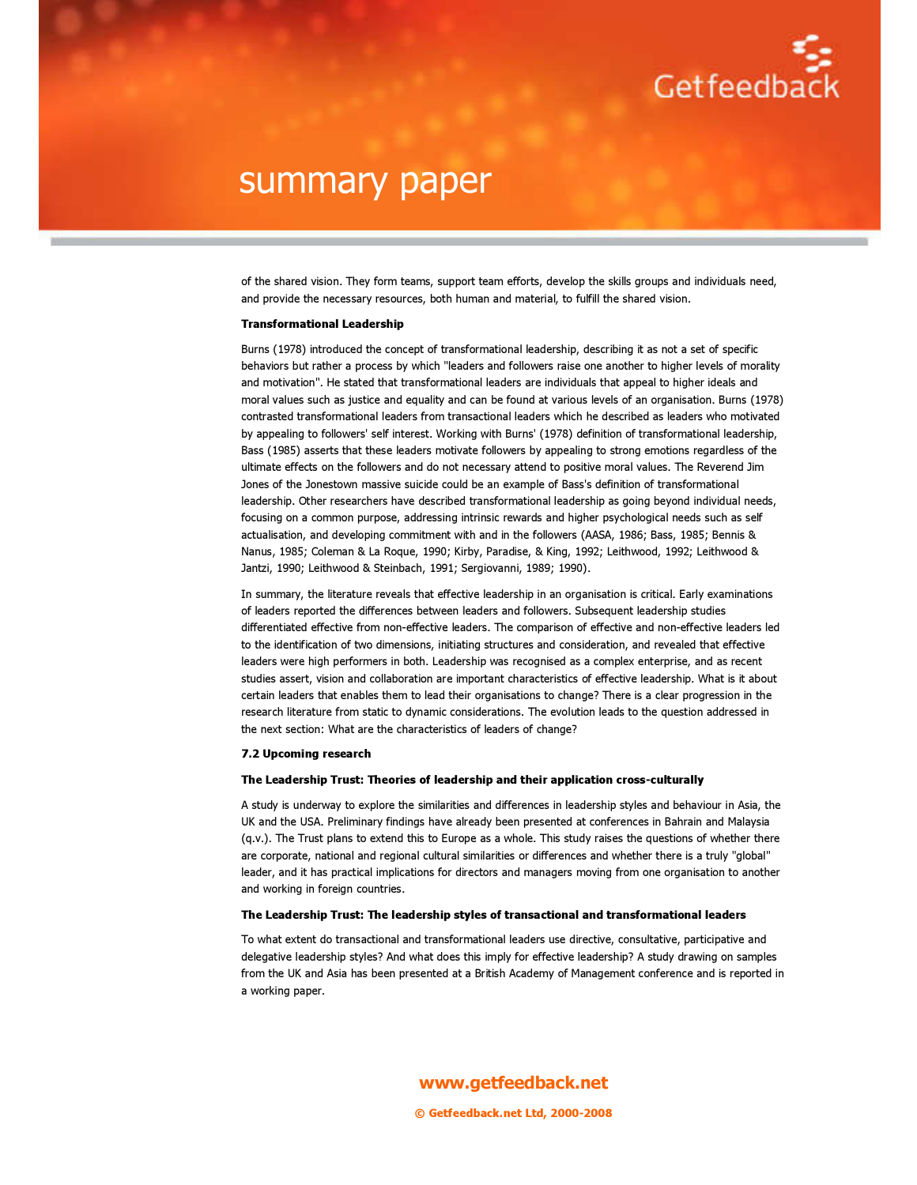

of the shared vision. They form teams, support team efforts, develop the skills groups and individuals need, and provide the necessary resources, both human and material, to fulfill the shared vision.

#### Transformational Leadership

Burns (1978) introduced the concept of transformational leadership, describing it as not a set of specific behaviors but rather a process by which "leaders and followers raise one another to higher levels of morality and motivation". He stated that transformational leaders are individuals that appeal to higher ideals and moral values such as justice and equality and can be found at various levels of an organisation. Burns (1978) contrasted transformational leaders from transactional leaders which he described as leaders who motivated by appealing to followers' self interest. Working with Burns' (1978) definition of transformational leadership, Bass (1985) asserts that these leaders motivate followers by appealing to strong emotions regardless of the ultimate effects on the followers and do not necessary attend to positive moral values. The Reverend Jim Jones of the Jonestown massive suicide could be an example of Bass's definition of transformational leadership. Other researchers have described transformational leadership as going beyond individual needs, focusing on a common purpose, addressing intrinsic rewards and higher psychological needs such as self actualisation, and developing commitment with and in the followers (AASA, 1986; Bass, 1985; Bennis & Nanus, 1985; Coleman & La Roque, 1990; Kirby, Paradise, & King, 1992; Leithwood, 1992; Leithwood & Jantzi, 1990; Leithwood & Steinbach, 1991; Sergiovanni, 1989; 1990).

In summary, the literature reveals that effective leadership in an organisation is critical. Early examinations of leaders reported the differences between leaders and followers. Subsequent leadership studies differentiated effective from non-effective leaders. The comparison of effective and non-effective leaders led to the identification of two dimensions, initiating structures and consideration, and revealed that effective leaders were high performers in both. Leadership was recognised as a complex enterprise, and as recent studies assert, vision and collaboration are important characteristics of effective leadership. What is it about certain leaders that enables them to lead their organisations to change? There is a clear progression in the research literature from static to dynamic considerations. The evolution leads to the question addressed in the next section: What are the characteristics of leaders of change?

#### 7.2 Upcoming research

#### The Leadership Trust: Theories of leadership and their application cross-culturally

A study is underway to explore the similarities and differences in leadership styles and behaviour in Asia, the UK and the USA. Preliminary findings have already been presented at conferences in Bahrain and Malaysia (q.v.). The Trust plans to extend this to Europe as a whole. This study raises the questions of whether there are corporate, national and regional cultural similarities or differences and whether there is a truly "global" leader, and it has practical implications for directors and managers moving from one organisation to another and working in foreign countries.

#### The Leadership Trust: The leadership styles of transactional and transformational leaders

To what extent do transactional and transformational leaders use directive, consultative, participative and delegative leadership styles? And what does this imply for effective leadership? A study drawing on samples from the UK and Asia has been presented at a British Academy of Management conference and is reported in a working paper.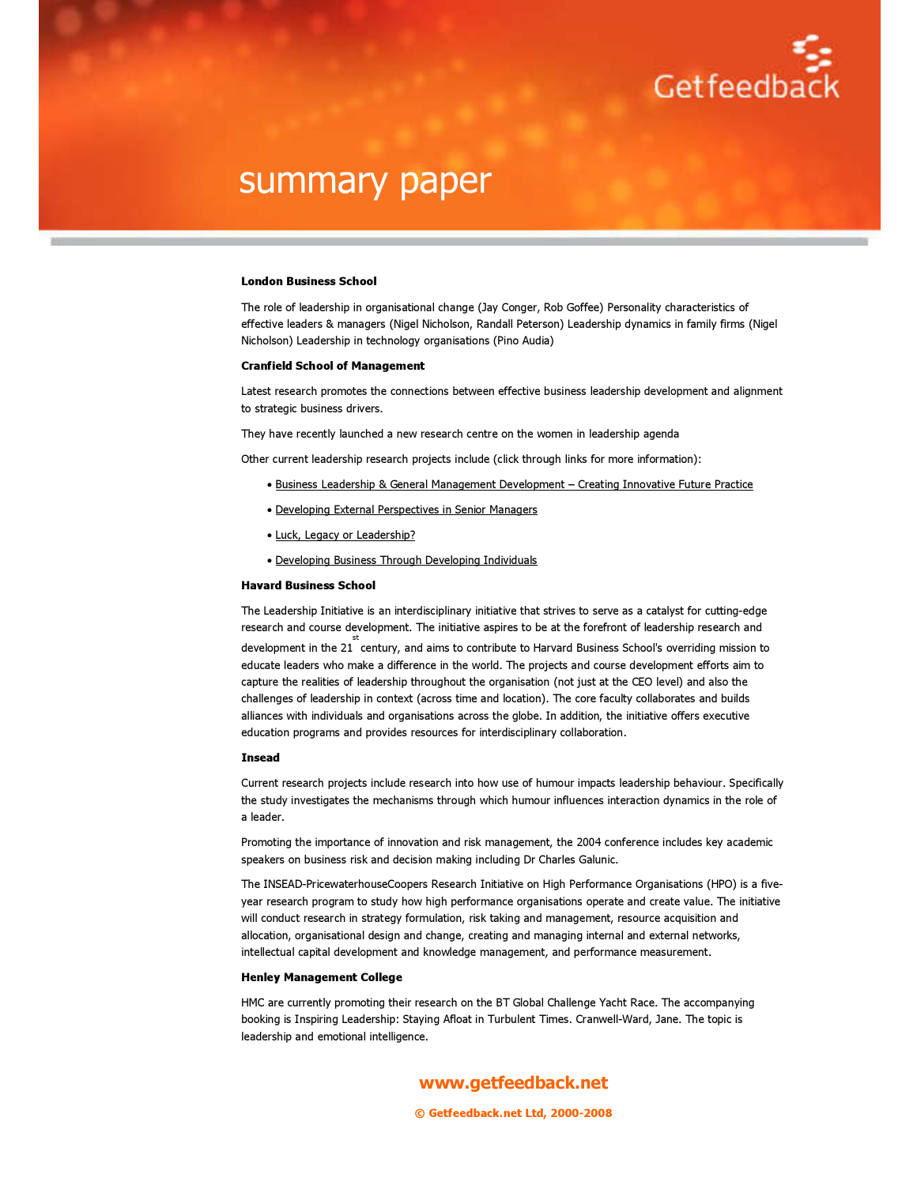

#### London Business School

The role of leadership in organisational change (Jay Conger, Rob Goffee) Personality characteristics of effective leaders & managers (Nigel Nicholson, Randall Peterson) Leadership dynamics in family firms (Nigel Nicholson) Leadership in technology organisations (Pino Audia)

#### Cranfield School of Management

Latest research promotes the connections between effective business leadership development and alignment to strategic business drivers.

They have recently launched a new research centre on the women in leadership agenda

Other current leadership research projects include (click through links for more information):

- Business Leadership & General Management Development Creating Innovative Future Practice
- Developing External Perspectives in Senior Managers
- Luck, Legacy or Leadership?
- Developing Business Through Developing Individuals

#### Havard Business School

The Leadership Initiative is an interdisciplinary initiative that strives to serve as a catalyst for cutting-edge research and course development. The initiative aspires to be at the forefront of leadership research and development in the 21 century, and aims to contribute to Harvard Business School's overriding mission to st educate leaders who make a difference in the world. The projects and course development efforts aim to capture the realities of leadership throughout the organisation (not just at the CEO level) and also the challenges of leadership in context (across time and location). The core faculty collaborates and builds alliances with individuals and organisations across the globe. In addition, the initiative offers executive education programs and provides resources for interdisciplinary collaboration.

#### Insead

Current research projects include research into how use of humour impacts leadership behaviour. Specifically the study investigates the mechanisms through which humour influences interaction dynamics in the role of a leader.

Promoting the importance of innovation and risk management, the 2004 conference includes key academic speakers on business risk and decision making including Dr Charles Galunic.

The INSEAD-PricewaterhouseCoopers Research Initiative on High Performance Organisations (HPO) is a fiveyear research program to study how high performance organisations operate and create value. The initiative will conduct research in strategy formulation, risk taking and management, resource acquisition and allocation, organisational design and change, creating and managing internal and external networks, intellectual capital development and knowledge management, and performance measurement.

#### Henley Management College

HMC are currently promoting their research on the BT Global Challenge Yacht Race. The accompanying booking is Inspiring Leadership: Staying Afloat in Turbulent Times. Cranwell-Ward, Jane. The topic is leadership and emotional intelligence.

www.getfeedback.net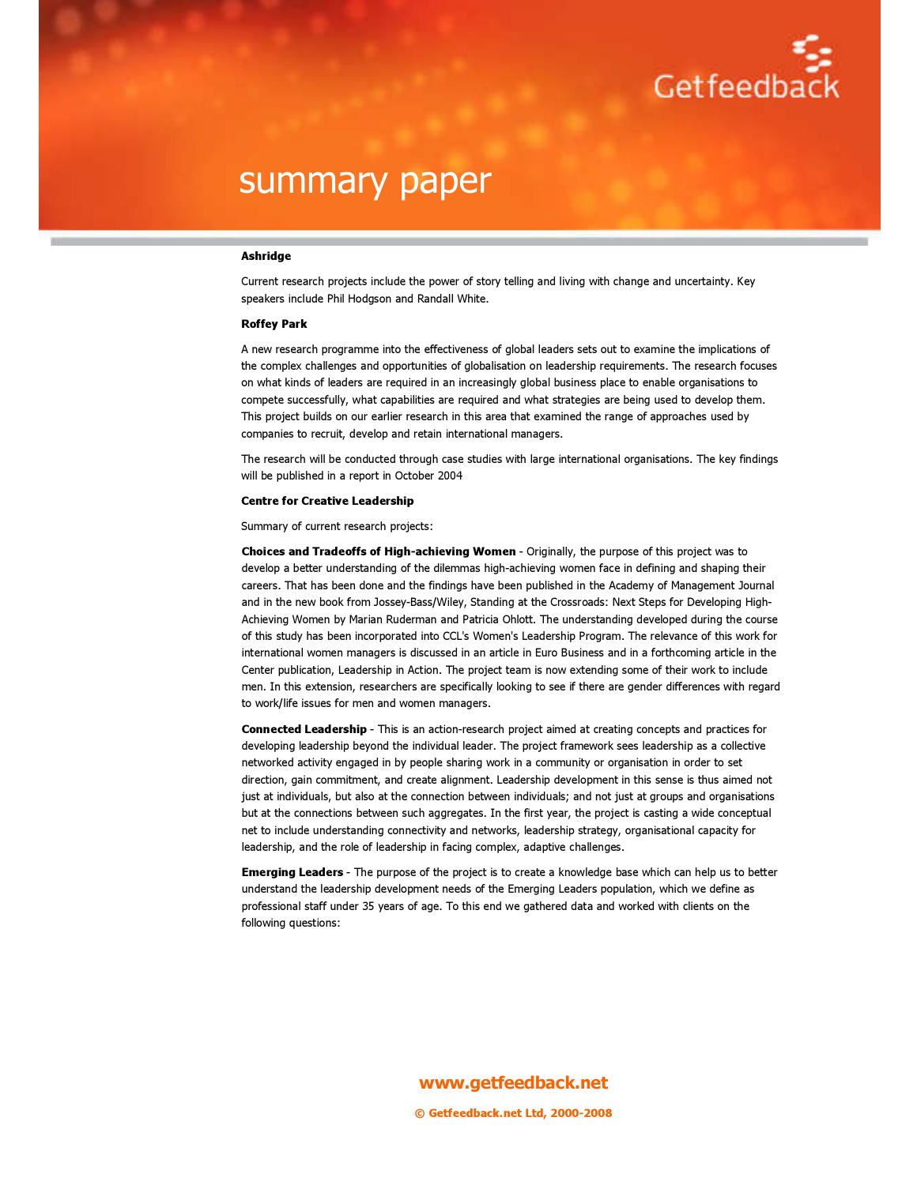

#### Ashridge

Current research projects include the power of story telling and living with change and uncertainty. Key speakers include Phil Hodgson and Randall White.

#### Roffey Park

A new research programme into the effectiveness of global leaders sets out to examine the implications of the complex challenges and opportunities of globalisation on leadership requirements. The research focuses on what kinds of leaders are required in an increasingly global business place to enable organisations to compete successfully, what capabilities are required and what strategies are being used to develop them. This project builds on our earlier research in this area that examined the range of approaches used by companies to recruit, develop and retain international managers.

The research will be conducted through case studies with large international organisations. The key findings will be published in a report in October 2004

#### Centre for Creative Leadership

Summary of current research projects:

Choices and Tradeoffs of High-achieving Women - Originally, the purpose of this project was to develop a better understanding of the dilemmas high-achieving women face in defining and shaping their careers. That has been done and the findings have been published in the Academy of Management Journal and in the new book from Jossey-Bass/Wiley, Standing at the Crossroads: Next Steps for Developing High-Achieving Women by Marian Ruderman and Patricia Ohlott. The understanding developed during the course of this study has been incorporated into CCL's Women's Leadership Program. The relevance of this work for international women managers is discussed in an article in Euro Business and in a forthcoming article in the Center publication, Leadership in Action. The project team is now extending some of their work to include men. In this extension, researchers are specifically looking to see if there are gender differences with regard to work/life issues for men and women managers.

Connected Leadership - This is an action-research project aimed at creating concepts and practices for developing leadership beyond the individual leader. The project framework sees leadership as a collective networked activity engaged in by people sharing work in a community or organisation in order to set direction, gain commitment, and create alignment. Leadership development in this sense is thus aimed not just at individuals, but also at the connection between individuals; and not just at groups and organisations but at the connections between such aggregates. In the first year, the project is casting a wide conceptual net to include understanding connectivity and networks, leadership strategy, organisational capacity for leadership, and the role of leadership in facing complex, adaptive challenges.

Emerging Leaders - The purpose of the project is to create a knowledge base which can help us to better understand the leadership development needs of the Emerging Leaders population, which we define as professional staff under 35 years of age. To this end we gathered data and worked with clients on the following questions:

## www.getfeedback.net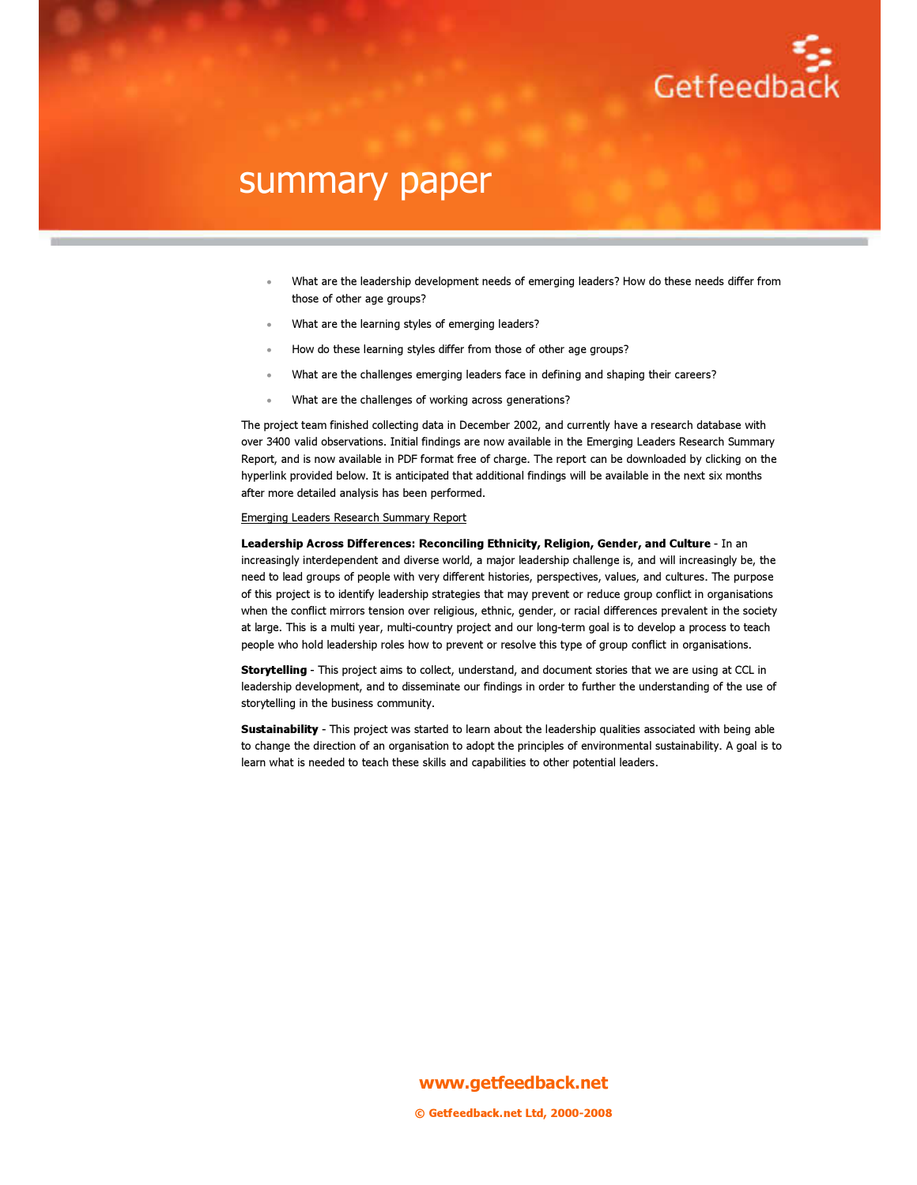

- What are the leadership development needs of emerging leaders? How do these needs differ from those of other age groups?
- What are the learning styles of emerging leaders?
- How do these learning styles differ from those of other age groups?
- What are the challenges emerging leaders face in defining and shaping their careers?
- What are the challenges of working across generations?

The project team finished collecting data in December 2002, and currently have a research database with over 3400 valid observations. Initial findings are now available in the Emerging Leaders Research Summary Report, and is now available in PDF format free of charge. The report can be downloaded by clicking on the hyperlink provided below. It is anticipated that additional findings will be available in the next six months after more detailed analysis has been performed.

#### Emerging Leaders Research Summary Report

Leadership Across Differences: Reconciling Ethnicity, Religion, Gender, and Culture - In an increasingly interdependent and diverse world, a major leadership challenge is, and will increasingly be, the need to lead groups of people with very different histories, perspectives, values, and cultures. The purpose of this project is to identify leadership strategies that may prevent or reduce group conflict in organisations when the conflict mirrors tension over religious, ethnic, gender, or racial differences prevalent in the society at large. This is a multi year, multi-country project and our long-term goal is to develop a process to teach people who hold leadership roles how to prevent or resolve this type of group conflict in organisations.

Storytelling - This project aims to collect, understand, and document stories that we are using at CCL in leadership development, and to disseminate our findings in order to further the understanding of the use of storytelling in the business community.

Sustainability - This project was started to learn about the leadership qualities associated with being able to change the direction of an organisation to adopt the principles of environmental sustainability. A goal is to learn what is needed to teach these skills and capabilities to other potential leaders.

www.getfeedback.net